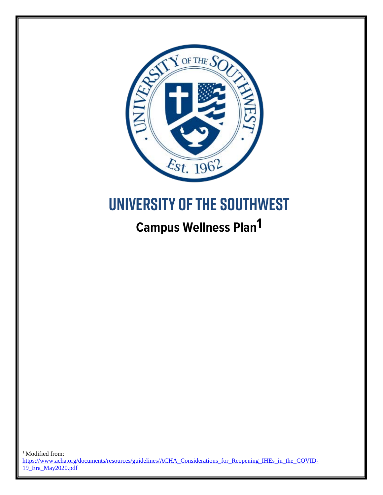

# **University of the Southwest**

## **Campus Wellness Plan1**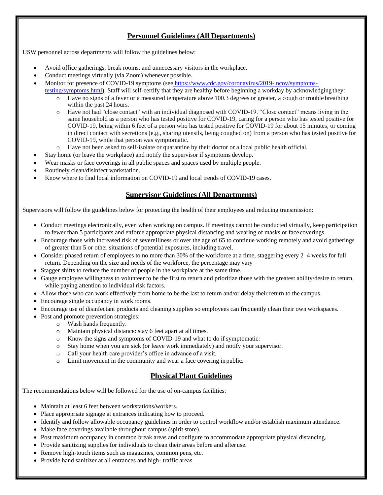#### **Personnel Guidelines (All Departments)**

USW personnel across departments will follow the guidelines below:

- Avoid office gatherings, break rooms, and unnecessary visitors in the workplace.
- Conduct meetings virtually (via Zoom) whenever possible.
- Monitor for presence of COVID-19 symptoms (see [https://www.cdc.gov/coronavirus/2019-](https://www.cdc.gov/coronavirus/2019-ncov/symptoms-testing/symptoms.html) [ncov/symptoms](https://www.cdc.gov/coronavirus/2019-ncov/symptoms-testing/symptoms.html)
	- [testing/symptoms.html\)](https://www.cdc.gov/coronavirus/2019-ncov/symptoms-testing/symptoms.html). Staff will self-certify that they are healthy before beginning a workday by acknowledging they: Have no signs of a fever or a measured temperature above 100.3 degrees or greater, a cough or trouble breathing within the past 24 hours.
		- o Have not had "close contact" with an individual diagnosed with COVID-19. "Close contact" means living in the same household as a person who has tested positive for COVID-19, caring for a person who has tested positive for COVID-19, being within 6 feet of a person who has tested positive for COVID-19 for about 15 minutes, or coming in direct contact with secretions (e.g., sharing utensils, being coughed on) from a person who has tested positive for COVID-19, while that person was symptomatic.
		- o Have not been asked to self-isolate or quarantine by their doctor or a local public health official.
- Stay home (or leave the workplace) and notify the supervisor if symptoms develop.
- Wear masks or face coverings in all public spaces and spaces used by multiple people.
- Routinely clean/disinfect workstation.
- Know where to find local information on COVID-19 and local trends of COVID-19 cases.

#### **Supervisor Guidelines (All Departments)**

Supervisors will follow the guidelines below for protecting the health of their employees and reducing transmission:

- Conduct meetings electronically, even when working on campus. If meetings cannot be conducted virtually, keep participation to fewer than 5 participants and enforce appropriate physical distancing and wearing of masks or face coverings.
- Encourage those with increased risk of severeillness or over the age of 65 to continue working remotely and avoid gatherings of greater than 5 or other situations of potential exposures, including travel.
- Consider phased return of employees to no more than 30% of the workforce at a time, staggering every 2–4 weeks for full return. Depending on the size and needs of the workforce, the percentage may vary
- Stagger shifts to reduce the number of people in the workplace at the same time.
- Gauge employee willingness to volunteer to be the first to return and prioritize those with the greatest ability/desire to return, while paying attention to individual risk factors.
- Allow those who can work effectively from home to be the last to return and/or delay their return to the campus.
- Encourage single occupancy in work rooms.
- Encourage use of disinfectant products and cleaning supplies so employees can frequently clean their own workspaces.
- Post and promote prevention strategies:
	- o Wash hands frequently.
	- o Maintain physical distance: stay 6 feet apart at all times.
	- o Know the signs and symptoms of COVID-19 and what to do if symptomatic:
	- o Stay home when you are sick (or leave work immediately) and notify your supervisor.
	- o Call your health care provider's office in advance of a visit.
	- o Limit movement in the community and wear a face covering inpublic.

#### **Physical Plant Guidelines**

The recommendations below will be followed for the use of on-campus facilities:

- Maintain at least 6 feet between workstations/workers.
- Place appropriate signage at entrances indicating how to proceed.
- Identify and follow allowable occupancy guidelines in order to control workflow and/or establish maximum attendance.
- Make face coverings available throughout campus (spirit store).
- Post maximum occupancy in common break areas and configure to accommodate appropriate physical distancing.
- Provide sanitizing supplies for individuals to clean their areas before and afteruse.
- Remove high-touch items such as magazines, common pens, etc.
- Provide hand sanitizer at all entrances and high- traffic areas.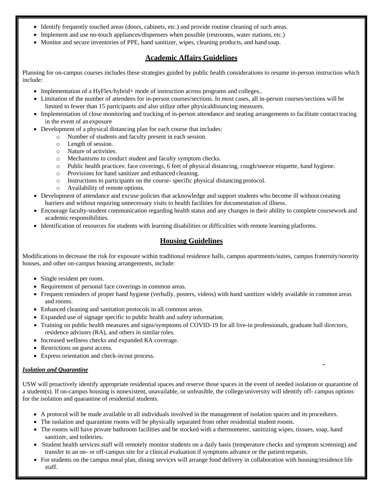- Identify frequently touched areas (doors, cabinets, etc.) and provide routine cleaning of such areas.
- Implement and use no-touch appliances/dispensers when possible (restrooms, water stations, etc.)
- Monitor and secure inventories of PPE, hand sanitizer, wipes, cleaning products, and hand soap.

#### **Academic Affairs Guidelines**

Planning for on-campus courses includes these strategies guided by public health considerations to resume in-person instruction which include:

- Implementation of a HyFlex/hybrid+ mode of instruction across programs and colleges..
- Limitation of the number of attendees for in-person courses/sections. In most cases, all in-person courses/sections will be limited to fewer than 15 participants and also utilize other physicaldistancing measures.
- Implementation of close monitoring and tracking of in-person attendance and seating arrangements to facilitate contact tracing in the event of an exposure
- Development of a physical distancing plan for each course that includes:
	- o Number of students and faculty present in each session.
	- o Length of session.
	- o Nature of activities.
	- o Mechanisms to conduct student and faculty symptom checks.
	- o Public health practices: face coverings, 6 feet of physical distancing, cough/sneeze etiquette, hand hygiene.
	- o Provisions for hand sanitizer and enhanced cleaning.
	- o Instructions to participants on the course- specific physical distancing protocol.
	- o Availability of remote options.
- Development of attendance and excuse policies that acknowledge and support students who become ill without creating barriers and without requiring unnecessary visits to health facilities for documentation of illness.
- Encourage faculty-student communication regarding health status and any changes in their ability to complete coursework and academic responsibilities.
- Identification of resources for students with learning disabilities or difficulties with remote learning platforms.

#### **Housing Guidelines**

Modifications to decrease the risk for exposure within traditional residence halls, campus apartments/suites, campus fraternity/sorority houses, and other on-campus housing arrangements, include:

- Single resident per room.
- Requirement of personal face coverings in common areas.
- Frequent reminders of proper hand hygiene (verbally, posters, videos) with hand sanitizer widely available in common areas and rooms.
- Enhanced cleaning and sanitation protocols in all common areas.
- Expanded use of signage specific to public health and safety information.
- Training on public health measures and signs/symptoms of COVID-19 for all live-in professionals, graduate hall directors, residence advisors (RA), and others in similar roles.
- Increased wellness checks and expanded RA coverage.
- Restrictions on guest access.
- Express orientation and check-in/out process.

#### *Isolation and Quarantine*

USW will proactively identify appropriate residential spaces and reserve those spaces in the event of needed isolation or quarantine of a student(s). If on-campus housing is nonexistent, unavailable, or unfeasible, the college/university will identify off- campus options for the isolation and quarantine of residential students.

- A protocol will be made available to all individuals involved in the management of isolation spaces and its procedures.
- The isolation and quarantine rooms will be physically separated from other residential student rooms.
- The rooms will have private bathroom facilities and be stocked with a thermometer, sanitizing wipes, tissues, soap, hand sanitizer, and toiletries.
- Student health services staff will remotely monitor students on a daily basis (temperature checks and symptom screening) and transfer to an on- or off-campus site for a clinical evaluation if symptoms advance or the patientrequests.
- For students on the campus meal plan, dining services will arrange food delivery in collaboration with housing/residence life staff.